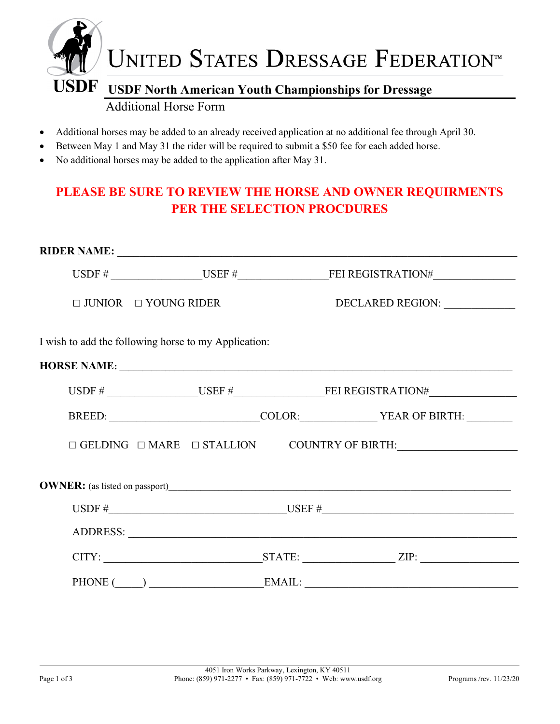

- Additional horses may be added to an already received application at no additional fee through April 30.
- Between May 1 and May 31 the rider will be required to submit a \$50 fee for each added horse.
- No additional horses may be added to the application after May 31.

# PLEASE BE SURE TO REVIEW THE HORSE AND OWNER REQUIRMENTS PER THE SELECTION PROCDURES

| $\Box$ JUNIOR $\Box$ YOUNG RIDER                     |  | DECLARED REGION: _____________                                                                      |  |
|------------------------------------------------------|--|-----------------------------------------------------------------------------------------------------|--|
| I wish to add the following horse to my Application: |  |                                                                                                     |  |
|                                                      |  |                                                                                                     |  |
|                                                      |  |                                                                                                     |  |
|                                                      |  | BREED: COLOR: YEAR OF BIRTH:                                                                        |  |
|                                                      |  | $\Box \text{ GELDING } \Box \text{ MARE } \Box \text{ STALLION } \qquad \text{COUNTRY OF BIRTH:}\_$ |  |
|                                                      |  |                                                                                                     |  |
|                                                      |  |                                                                                                     |  |
|                                                      |  |                                                                                                     |  |
|                                                      |  |                                                                                                     |  |
|                                                      |  | PHONE (COMPLEMENT) EMAIL:                                                                           |  |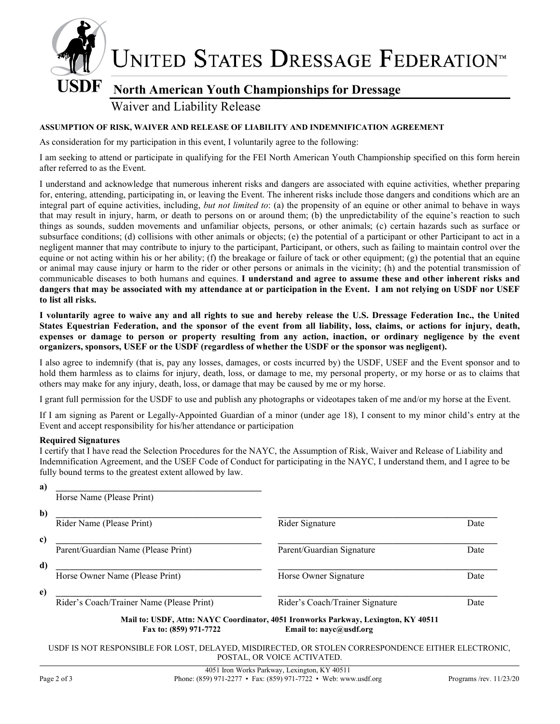

### Waiver and Liability Release

#### ASSUMPTION OF RISK, WAIVER AND RELEASE OF LIABILITY AND INDEMNIFICATION AGREEMENT

As consideration for my participation in this event, I voluntarily agree to the following:

I am seeking to attend or participate in qualifying for the FEI North American Youth Championship specified on this form herein after referred to as the Event.

I understand and acknowledge that numerous inherent risks and dangers are associated with equine activities, whether preparing for, entering, attending, participating in, or leaving the Event. The inherent risks include those dangers and conditions which are an integral part of equine activities, including, but not limited to: (a) the propensity of an equine or other animal to behave in ways that may result in injury, harm, or death to persons on or around them; (b) the unpredictability of the equine's reaction to such things as sounds, sudden movements and unfamiliar objects, persons, or other animals; (c) certain hazards such as surface or subsurface conditions; (d) collisions with other animals or objects; (e) the potential of a participant or other Participant to act in a negligent manner that may contribute to injury to the participant, Participant, or others, such as failing to maintain control over the equine or not acting within his or her ability; (f) the breakage or failure of tack or other equipment; (g) the potential that an equine or animal may cause injury or harm to the rider or other persons or animals in the vicinity; (h) and the potential transmission of communicable diseases to both humans and equines. I understand and agree to assume these and other inherent risks and dangers that may be associated with my attendance at or participation in the Event. I am not relying on USDF nor USEF to list all risks.

I voluntarily agree to waive any and all rights to sue and hereby release the U.S. Dressage Federation Inc., the United States Equestrian Federation, and the sponsor of the event from all liability, loss, claims, or actions for injury, death, expenses or damage to person or property resulting from any action, inaction, or ordinary negligence by the event organizers, sponsors, USEF or the USDF (regardless of whether the USDF or the sponsor was negligent).

I also agree to indemnify (that is, pay any losses, damages, or costs incurred by) the USDF, USEF and the Event sponsor and to hold them harmless as to claims for injury, death, loss, or damage to me, my personal property, or my horse or as to claims that others may make for any injury, death, loss, or damage that may be caused by me or my horse.

I grant full permission for the USDF to use and publish any photographs or videotapes taken of me and/or my horse at the Event.

If I am signing as Parent or Legally-Appointed Guardian of a minor (under age 18), I consent to my minor child's entry at the Event and accept responsibility for his/her attendance or participation

#### Required Signatures

I certify that I have read the Selection Procedures for the NAYC, the Assumption of Risk, Waiver and Release of Liability and Indemnification Agreement, and the USEF Code of Conduct for participating in the NAYC, I understand them, and I agree to be fully bound terms to the greatest extent allowed by law.

| a) |                                                                                                                                                |                                 |      |  |  |
|----|------------------------------------------------------------------------------------------------------------------------------------------------|---------------------------------|------|--|--|
|    | Horse Name (Please Print)                                                                                                                      |                                 |      |  |  |
| b) |                                                                                                                                                |                                 |      |  |  |
|    | Rider Name (Please Print)                                                                                                                      | Rider Signature                 | Date |  |  |
| c) |                                                                                                                                                |                                 |      |  |  |
|    | Parent/Guardian Name (Please Print)                                                                                                            | Parent/Guardian Signature       | Date |  |  |
| d) |                                                                                                                                                |                                 |      |  |  |
|    | Horse Owner Name (Please Print)                                                                                                                | Horse Owner Signature           | Date |  |  |
| e) |                                                                                                                                                |                                 |      |  |  |
|    | Rider's Coach/Trainer Name (Please Print)                                                                                                      | Rider's Coach/Trainer Signature | Date |  |  |
|    | Mail to: USDF, Attn: NAYC Coordinator, 4051 Ironworks Parkway, Lexington, KY 40511<br>Fax to: (859) 971-7722<br>Email to: $n$ ayc $@$ usdf.org |                                 |      |  |  |

USDF IS NOT RESPONSIBLE FOR LOST, DELAYED, MISDIRECTED, OR STOLEN CORRESPONDENCE EITHER ELECTRONIC, POSTAL, OR VOICE ACTIVATED.